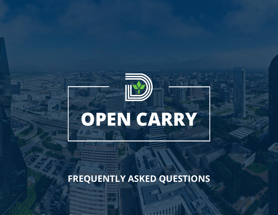

# **FREQUENTLY ASKED QUESTIONS**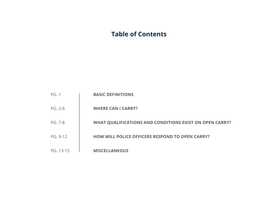# **Table of Contents**

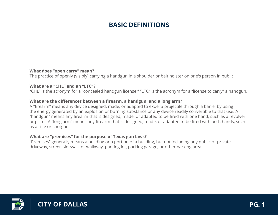# **BASIC DEFINITIONS**

### **What does "open carry" mean?**

The practice of openly (visibly) carrying a handgun in a shoulder or belt holster on one's person in public.

#### **What are a "CHL" and an "LTC"?**

"CHL" is the acronym for a "concealed handgun license." "LTC" is the acronym for a "license to carry" a handgun.

#### **What are the differences between a firearm, a handgun, and a long arm?**

A "firearm" means any device designed, made, or adapted to expel a projectile through a barrel by using the energy generated by an explosion or burning substance or any device readily convertible to that use. A "handgun" means any firearm that is designed, made, or adapted to be fired with one hand, such as a revolver or pistol. A "long arm" means any firearm that is designed, made, or adapted to be fired with both hands, such as a rifle or shotgun.

#### **What are "premises" for the purpose of Texas gun laws?**

"Premises" generally means a building or a portion of a building, but not including any public or private driveway, street, sidewalk or walkway, parking lot, parking garage, or other parking area.

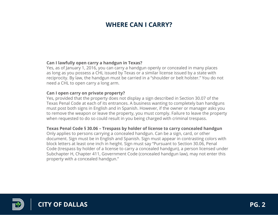# **WHERE CAN I CARRY?**

### **Can I lawfully open carry a handgun in Texas?**

Yes, as of January 1, 2016, you can carry a handgun openly or concealed in many places as long as you possess a CHL issued by Texas or a similar license issued by a state with reciprocity. By law, the handgun must be carried in a "shoulder or belt holster." You do not need a CHL to open carry a long arm.

#### **Can I open carry on private property?**

Yes, provided that the property does not display a sign described in Section 30.07 of the Texas Penal Code at each of its entrances. A business wanting to completely ban handguns must post both signs in English and in Spanish. However, if the owner or manager asks you to remove the weapon or leave the property, you must comply. Failure to leave the property when requested to do so could result in you being charged with criminal trespass.

### **Texas Penal Code § 30.06 – Trespass by holder of license to carry concealed handgun**

Only applies to persons carrying a concealed handgun. Can be a sign, card, or other document. Sign must be in English and Spanish. Sign must appear in contrasting colors with block letters at least one inch in height. Sign must say "Pursuant to Section 30.06, Penal Code (trespass by holder of a license to carry a concealed handgun), a person licensed under Subchapter H, Chapter 411, Government Code (concealed handgun law), may not enter this property with a concealed handgun."

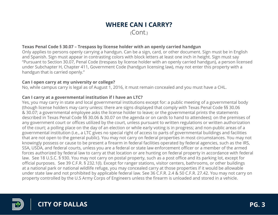# **Texas Penal Code § 30.07 – Trespass by license holder with an openly carried handgun**

Only applies to persons openly carrying a handgun. Can be a sign, card, or other document. Sign must be in English and Spanish. Sign must appear in contrasting colors with block letters at least one inch in height. Sign must say "Pursuant to Section 30.07, Penal Code (trespass by license holder with an openly carried handgun), a person licensed under Subchapter H, Chapter 411, Government Code (handgun licensing law), may not enter this property with a handgun that is carried openly."

#### **Can I open carry at my university or college?**

No, while campus carry is legal as of August 1, 2016, it must remain concealed and you must have a CHL.

## **Can I carry at a governmental institution if I have an LTC?**

Yes, you may carry in state and local governmental institutions except for: a public meeting of a governmental body (though license holders may carry unless: there are signs displayed that comply with Texas Penal Code §§ 30.06 & 30.07; a governmental employee asks the license holder to leave; or the governmental prints the statements described in Texas Penal Code §§ 30.06 & 30.07 on the agenda or on cards to hand to attendees); on the premises of any government court or offices utilized by the court, unless pursuant to written regulations or written authorization of the court; a polling place on the day of an election or while early voting is in progress; and non-public areas of a governmental institution (i.e., a LTC gives no special right of access to parts of governmental buildings and facilities that are not open to the general public). You may not carry on federal properties in most circumstances. You may not knowingly possess or cause to be present a firearm in federal facilities operated by federal agencies, such as the IRS, SSA, USDA, and federal courts, unless you are a federal or state law enforcement officer or a member of the armed forces authorized by federal law to carry at that location or are hunting on federal property in accordance with federal law. See 18 U.S.C. § 930. You may not carry on postal property, such as a post office and its parking lot, except for official purposes. See 39 C.F.R. § 232.1(l). Except for ranger stations, visitor centers, bathrooms, or other buildings at a national park or national wildlife refuge, you may concealed carry at those properties if it would be allowable under state law and not prohibited by applicable federal law. See 36 C.F.R. 2.4 & 50 C.F.R. 27.42. You may not carry on property controlled by the U.S Army Corps of Engineers unless the firearm is unloaded and stored in a vehicle.

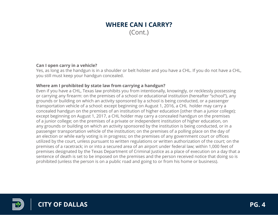### **Can I open carry in a vehicle?**

Yes, as long as the handgun is in a shoulder or belt holster and you have a CHL. If you do not have a CHL, you still must keep your handgun concealed.

# **Where am I prohibited by state law from carrying a handgun?**

Even if you have a CHL, Texas law prohibits you from intentionally, knowingly, or recklessly possessing or carrying any firearm: on the premises of a school or educational institution (hereafter "school"), any grounds or building on which an activity sponsored by a school is being conducted, or a passenger transportation vehicle of a school: except beginning on August 1, 2016, a CHL holder may carry a concealed handgun on the premises of an institution of higher education [other than a junior college); except beginning on August 1, 2017, a CHL holder may carry a concealed handgun on the premises of a junior college; on the premises of a private or independent institution of higher education, on any grounds or building on which an activity sponsored by the institution is being conducted, or in a passenger transportation vehicle of the institution; on the premises of a polling place on the day of an election or while early voting is in progress; on the premises of any government court or offices utilized by the court, unless pursuant to written regulations or written authorization of the court; on the premises of a racetrack; in or into a secured area of an airport under federal law; within 1,000 feet of premises designated by the Texas Department of Criminal Justice as a place of execution on a day that a sentence of death is set to be imposed on the premises and the person received notice that doing so is prohibited (unless the person is on a public road and going to or from his home or business).

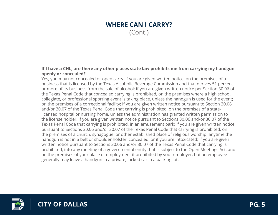#### **If I have a CHL, are there any other places state law prohibits me from carrying my handgun openly or concealed?**

Yes, you may not concealed or open carry: if you are given written notice, on the premises of a business that is licensed by the Texas Alcoholic Beverage Commission and that derives 51 percent or more of its business from the sale of alcohol; if you are given written notice per Section 30.06 of the Texas Penal Code that concealed carrying is prohibited, on the premises where a high school, collegiate, or professional sporting event is taking place, unless the handgun is used for the event; on the premises of a correctional facility; if you are given written notice pursuant to Section 30.06 and/or 30.07 of the Texas Penal Code that carrying is prohibited, on the premises of a statelicensed hospital or nursing home, unless the administration has granted written permission to the license holder; if you are given written notice pursuant to Sections 30.06 and/or 30.07 of the Texas Penal Code that carrying is prohibited, in an amusement park; if you are given written notice pursuant to Sections 30.06 and/or 30.07 of the Texas Penal Code that carrying is prohibited, on the premises of a church, synagogue, or other established place of religious worship; anytime the handgun is not in a belt or shoulder holster, concealed, or if you are intoxicated; if you are given written notice pursuant to Sections 30.06 and/or 30.07 of the Texas Penal Code that carrying is prohibited, into any meeting of a governmental entity that is subject to the Open Meetings Act; and on the premises of your place of employment if prohibited by your employer, but an employee generally may leave a handgun in a private, locked car in a parking lot.

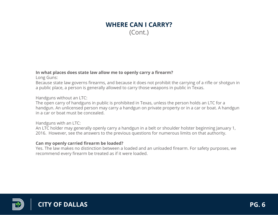### **In what places does state law allow me to openly carry a firearm?**

Long Guns:

Because state law governs firearms, and because it does not prohibit the carrying of a rifle or shotgun in a public place, a person is generally allowed to carry those weapons in public in Texas.

Handguns without an LTC:

The open carry of handguns in public is prohibited in Texas, unless the person holds an LTC for a handgun. An unlicensed person may carry a handgun on private property or in a car or boat. A handgun in a car or boat must be concealed.

Handguns with an LTC:

An LTC holder may generally openly carry a handgun in a belt or shoulder holster beginning January 1, 2016. However, see the answers to the previous questions for numerous limits on that authority.

# **Can my openly carried firearm be loaded?**

Yes. The law makes no distinction between a loaded and an unloaded firearm. For safety purposes, we recommend every firearm be treated as if it were loaded.

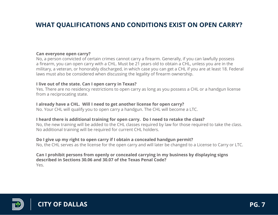# **WHAT QUALIFICATIONS AND CONDITIONS EXIST ON OPEN CARRY?**

# **Can everyone open carry?**

No, a person convicted of certain crimes cannot carry a firearm. Generally, if you can lawfully possess a firearm, you can open carry with a CHL. Must be 21 years old to obtain a CHL, unless you are in the military, a veteran, or honorably discharged, in which case you can get a CHL if you are at least 18. Federal laws must also be considered when discussing the legality of firearm ownership.

#### **I live out of the state. Can I open carry in Texas?**

Yes. There are no residency restrictions to open carry as long as you possess a CHL or a handgun license from a reciprocating state.

#### **I already have a CHL. Will I need to get another license for open carry?**

No. Your CHL will qualify you to open carry a handgun. The CHL will become a LTC.

#### **I heard there is additional training for open carry. Do I need to retake the class?**

No, the new training will be added to the CHL classes required by law for those required to take the class. No additional training will be required for current CHL holders.

#### **Do I give up my right to open carry if I obtain a concealed handgun permit?**

No, the CHL serves as the license for the open carry and will later be changed to a License to Carry or LTC.

#### **Can I prohibit persons from openly or concealed carrying in my business by displaying signs described in Sections 30.06 and 30.07 of the Texas Penal Code?** Yes.

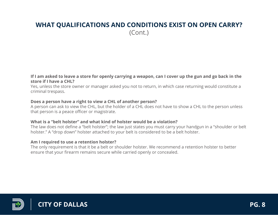# **WHAT QUALIFICATIONS AND CONDITIONS EXIST ON OPEN CARRY?** (Cont.)

#### **If I am asked to leave a store for openly carrying a weapon, can I cover up the gun and go back in the store if I have a CHL?**

Yes, unless the store owner or manager asked you not to return, in which case returning would constitute a criminal trespass.

#### **Does a person have a right to view a CHL of another person?**

A person can ask to view the CHL, but the holder of a CHL does not have to show a CHL to the person unless that person is a peace officer or magistrate.

## **What is a "belt holster" and what kind of holster would be a violation?**

The law does not define a "belt holster"; the law just states you must carry your handgun in a "shoulder or belt holster." A "drop down" holster attached to your belt is considered to be a belt holster.

### **Am I required to use a retention holster?**

The only requirement is that it be a belt or shoulder holster. We recommend a retention holster to better ensure that your firearm remains secure while carried openly or concealed.

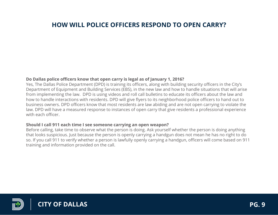# **HOW WILL POLICE OFFICERS RESPOND TO OPEN CARRY?**

### **Do Dallas police officers know that open carry is legal as of January 1, 2016?**

Yes, The Dallas Police Department (DPD) is training its officers, along with building security officers in the City's Department of Equipment and Building Services (EBS), in the new law and how to handle situations that will arise from implementing the law. DPD is using videos and roll call bulletins to educate its officers about the law and how to handle interactions with residents. DPD will give flyers to its neighborhood police officers to hand out to business owners. DPD officers know that most residents are law abiding and are not open carrying to violate the law. DPD will have a measured response to instances of open carry that give residents a professional experience with each officer

### **Should I call 911 each time I see someone carrying an open weapon?**

Before calling, take time to observe what the person is doing. Ask yourself whether the person is doing anything that looks suspicious. Just because the person is openly carrying a handgun does not mean he has no right to do so. If you call 911 to verify whether a person is lawfully openly carrying a handgun, officers will come based on 911 training and information provided on the call.

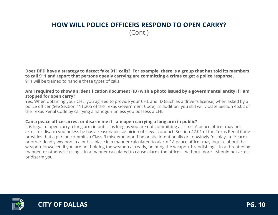# **HOW WILL POLICE OFFICERS RESPOND TO OPEN CARRY?** (Cont.)

**Does DPD have a strategy to detect fake 911 calls? For example, there is a group that has told its members to call 911 and report that persons openly carrying are committing a crime to get a police response.** 911 will be trained to handle these types of calls.

### **Am I required to show an identification document (ID) with a photo issued by a governmental entity if I am stopped for open carry?**

Yes. When obtaining your CHL, you agreed to provide your CHL and ID (such as a driver's license) when asked by a police officer (See Section 411.205 of the Texas Government Code). In addition, you still will violate Section 46.02 of the Texas Penal Code by carrying a handgun unless you possess a CHL.

## **Can a peace officer arrest or disarm me if I am open carrying a long arm in public?**

It is legal to open carry a long arm in public as long as you are not committing a crime. A peace officer may not arrest or disarm you unless he has a reasonable suspicion of illegal conduct. Section 42.01 of the Texas Penal Code provides that a person commits a Class B misdemeanor if he or she intentionally or knowingly "displays a firearm or other deadly weapon in a public place in a manner calculated to alarm." A peace officer may inquire about the weapon. However, if you are not holding the weapon at ready, pointing the weapon, brandishing it in a threatening manner, or otherwise using it in a manner calculated to cause alarm, the officer—without more—should not arrest or disarm you.

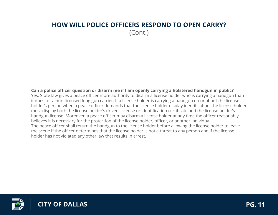# **HOW WILL POLICE OFFICERS RESPOND TO OPEN CARRY?** (Cont.)

**Can a police officer question or disarm me if I am openly carrying a holstered handgun in public?** Yes. State law gives a peace officer more authority to disarm a license holder who is carrying a handgun than it does for a non-licensed long gun carrier. If a license holder is carrying a handgun on or about the license holder's person when a peace officer demands that the license holder display identification, the license holder must display both the license holder's driver's license or identification certificate and the license holder's handgun license. Moreover, a peace officer may disarm a license holder at any time the officer reasonably believes it is necessary for the protection of the license holder, officer, or another individual. The peace officer shall return the handgun to the license holder before allowing the license holder to leave the scene if the officer determines that the license holder is not a threat to any person and if the license holder has not violated any other law that results in arrest.

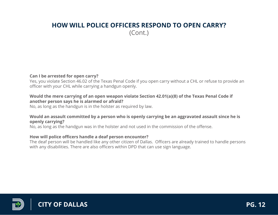# **HOW WILL POLICE OFFICERS RESPOND TO OPEN CARRY?** (Cont.)

### **Can I be arrested for open carry?**

Yes, you violate Section 46.02 of the Texas Penal Code if you open carry without a CHL or refuse to provide an officer with your CHL while carrying a handgun openly.

#### **Would the mere carrying of an open weapon violate Section 42.01(a)(8) of the Texas Penal Code if another person says he is alarmed or afraid?**

No, as long as the handgun is in the holster as required by law.

## **Would an assault committed by a person who is openly carrying be an aggravated assault since he is openly carrying?**

No, as long as the handgun was in the holster and not used in the commission of the offense.

### **How will police officers handle a deaf person encounter?**

The deaf person will be handled like any other citizen of Dallas. Officers are already trained to handle persons with any disabilities. There are also officers within DPD that can use sign language.

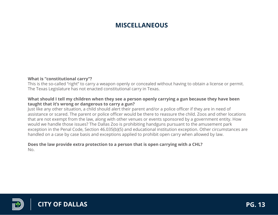# **MISCELLANEOUS**

### **What is "constitutional carry"?**

This is the so-called "right" to carry a weapon openly or concealed without having to obtain a license or permit. The Texas Legislature has not enacted constitutional carry in Texas.

#### **What should I tell my children when they see a person openly carrying a gun because they have been taught that it's wrong or dangerous to carry a gun?**

Just like any other situation, a child should alert their parent and/or a police officer if they are in need of assistance or scared. The parent or police officer would be there to reassure the child. Zoos and other locations that are not exempt from the law, along with other venues or events sponsored by a government entity. How would we handle those issues? The Dallas Zoo is prohibiting handguns pursuant to the amusement park exception in the Penal Code, Section 46.035(b)(5) and educational institution exception. Other circumstances are handled on a case by case basis and exceptions applied to prohibit open carry when allowed by law.

#### **Does the law provide extra protection to a person that is open carrying with a CHL?** No.

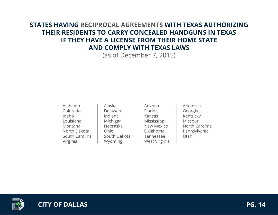# **STATES HAVING RECIPROCAL AGREEMENTS WITH TEXAS AUTHORIZING THEIR RESIDENTS TO CARRY CONCEALED HANDGUNS IN TEXAS IF THEY HAVE A LICENSE FROM THEIR HOME STATE AND COMPLY WITH TEXAS LAWS**

(as of December 7, 2015)

Alabama Colorado Idaho Louisiana Montana North Dakota South Carolina Virginia

Alaska Delaware Indiana Michigan Nebraska Ohio South Dakota Wyoming

Arizona Florida Kansas Mississippi New Mexico Oklahoma Tennessee West Virginia

Arkansas Georgia Kentucky Missouri North Carolina Pennsylvania Utah

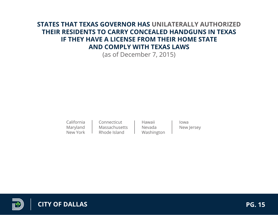# **STATES THAT TEXAS GOVERNOR HAS UNILATERALLY AUTHORIZED THEIR RESIDENTS TO CARRY CONCEALED HANDGUNS IN TEXAS IF THEY HAVE A LICENSE FROM THEIR HOME STATE AND COMPLY WITH TEXAS LAWS**

(as of December 7, 2015)

California Maryland New York Connecticut **Massachusetts** Rhode Island

Hawaii Nevada Washington

Iowa New Jersey



**CITY OF DALLAS PG. 15**